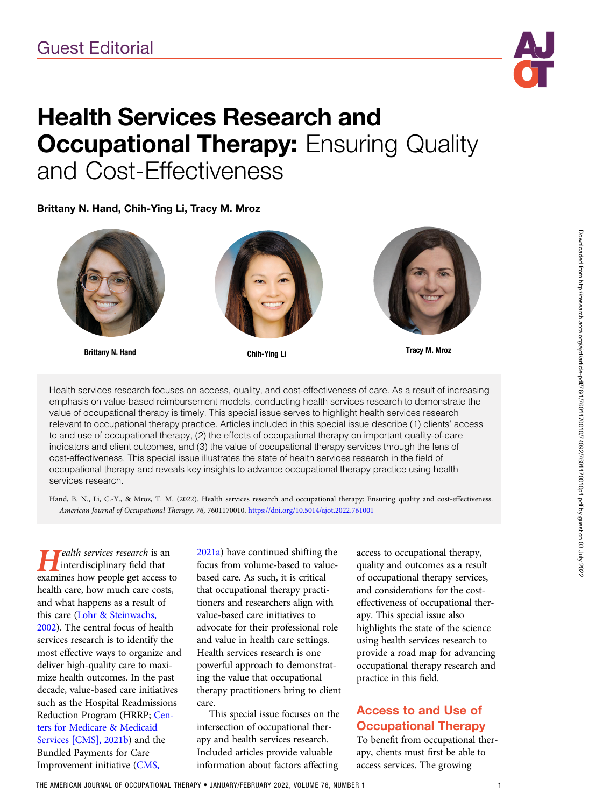

# Health Services Research and **Occupational Therapy: Ensuring Quality** and Cost-Effectiveness

Brittany N. Hand, Chih-Ying Li, Tracy M. Mroz



Brittany N. Hand **Tracy M. Mroz** Chih-Ying Li





Health services research focuses on access, quality, and cost-effectiveness of care. As a result of increasing emphasis on value-based reimbursement models, conducting health services research to demonstrate the value of occupational therapy is timely. This special issue serves to highlight health services research relevant to occupational therapy practice. Articles included in this special issue describe (1) clients' access to and use of occupational therapy, (2) the effects of occupational therapy on important quality-of-care indicators and client outcomes, and (3) the value of occupational therapy services through the lens of cost-effectiveness. This special issue illustrates the state of health services research in the field of occupational therapy and reveals key insights to advance occupational therapy practice using health services research.

Hand, B. N., Li, C.-Y., & Mroz, T. M. (2022). Health services research and occupational therapy: Ensuring quality and cost-effectiveness. American Journal of Occupational Therapy, 76, 7601170010. <https://doi.org/10.5014/ajot.2022.761001>

 $\mathsf{F}$ ealth services research is an interdisciplinary field that examines how people get access to health care, how much care costs, and what happens as a result of this care [\(Lohr & Steinwachs,](#page-3-0) [2002](#page-3-0)). The central focus of health services research is to identify the most effective ways to organize and deliver high-quality care to maximize health outcomes. In the past decade, value-based care initiatives such as the Hospital Readmissions Reduction Program (HRRP; [Cen](#page-3-0)[ters for Medicare & Medicaid](#page-3-0) [Services \[CMS\], 2021b](#page-3-0)) and the Bundled Payments for Care Improvement initiative [\(CMS,](#page-3-0)

[2021a\)](#page-3-0) have continued shifting the focus from volume-based to valuebased care. As such, it is critical that occupational therapy practitioners and researchers align with value-based care initiatives to advocate for their professional role and value in health care settings. Health services research is one powerful approach to demonstrating the value that occupational therapy practitioners bring to client care.

This special issue focuses on the intersection of occupational therapy and health services research. Included articles provide valuable information about factors affecting

access to occupational therapy, quality and outcomes as a result of occupational therapy services, and considerations for the costeffectiveness of occupational therapy. This special issue also highlights the state of the science using health services research to provide a road map for advancing occupational therapy research and practice in this field.

## Access to and Use of Occupational Therapy

To benefit from occupational therapy, clients must first be able to access services. The growing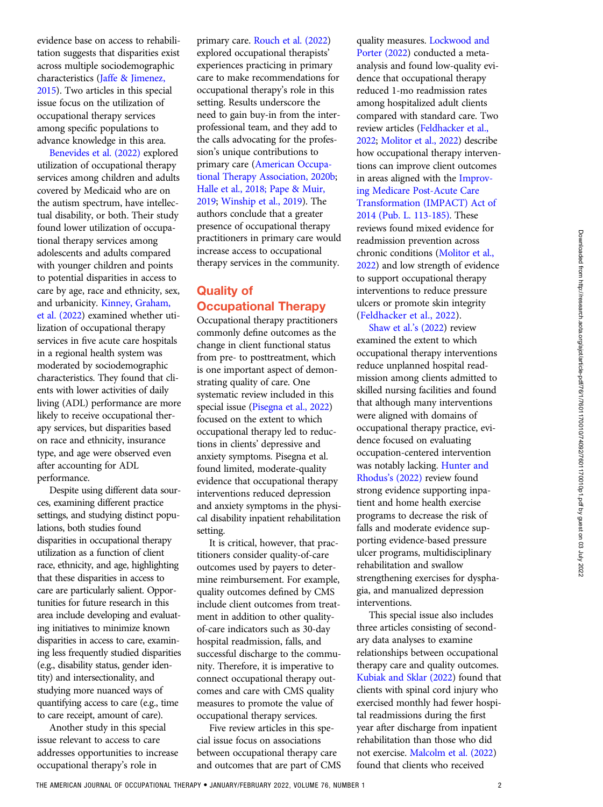evidence base on access to rehabilitation suggests that disparities exist across multiple sociodemographic characteristics [\(Jaffe & Jimenez,](#page-3-0) [2015](#page-3-0)). Two articles in this special issue focus on the utilization of occupational therapy services among specific populations to advance knowledge in this area.

[Benevides et al. \(2022\)](#page-3-0) explored utilization of occupational therapy services among children and adults covered by Medicaid who are on the autism spectrum, have intellectual disability, or both. Their study found lower utilization of occupational therapy services among adolescents and adults compared with younger children and points to potential disparities in access to care by age, race and ethnicity, sex, and urbanicity. [Kinney, Graham,](#page-3-0) [et al. \(2022](#page-3-0)) examined whether utilization of occupational therapy services in five acute care hospitals in a regional health system was moderated by sociodemographic characteristics. They found that clients with lower activities of daily living (ADL) performance are more likely to receive occupational therapy services, but disparities based on race and ethnicity, insurance type, and age were observed even after accounting for ADL performance.

Despite using different data sources, examining different practice settings, and studying distinct populations, both studies found disparities in occupational therapy utilization as a function of client race, ethnicity, and age, highlighting that these disparities in access to care are particularly salient. Opportunities for future research in this area include developing and evaluating initiatives to minimize known disparities in access to care, examining less frequently studied disparities (e.g., disability status, gender identity) and intersectionality, and studying more nuanced ways of quantifying access to care (e.g., time to care receipt, amount of care).

Another study in this special issue relevant to access to care addresses opportunities to increase occupational therapy's role in

primary care. [Rouch et al. \(2022\)](#page-3-0) explored occupational therapists' experiences practicing in primary care to make recommendations for occupational therapy's role in this setting. Results underscore the need to gain buy-in from the interprofessional team, and they add to the calls advocating for the profession's unique contributions to primary care [\(American Occupa](#page-3-0)[tional Therapy Association, 2020b](#page-3-0); [Halle et al., 2018; Pape & Muir,](#page-3-0) [2019](#page-3-0); [Winship et al., 2019](#page-3-0)). The authors conclude that a greater presence of occupational therapy practitioners in primary care would increase access to occupational therapy services in the community.

## Quality of Occupational Therapy

Occupational therapy practitioners commonly define outcomes as the change in client functional status from pre- to posttreatment, which is one important aspect of demonstrating quality of care. One systematic review included in this special issue ([Pisegna et al., 2022](#page-3-0)) focused on the extent to which occupational therapy led to reductions in clients' depressive and anxiety symptoms. Pisegna et al. found limited, moderate-quality evidence that occupational therapy interventions reduced depression and anxiety symptoms in the physical disability inpatient rehabilitation setting.

It is critical, however, that practitioners consider quality-of-care outcomes used by payers to determine reimbursement. For example, quality outcomes defined by CMS include client outcomes from treatment in addition to other qualityof-care indicators such as 30-day hospital readmission, falls, and successful discharge to the community. Therefore, it is imperative to connect occupational therapy outcomes and care with CMS quality measures to promote the value of occupational therapy services.

Five review articles in this special issue focus on associations between occupational therapy care and outcomes that are part of CMS quality measures. [Lockwood and](#page-3-0) [Porter \(2022](#page-3-0)) conducted a metaanalysis and found low-quality evidence that occupational therapy reduced 1-mo readmission rates among hospitalized adult clients compared with standard care. Two review articles ([Feldhacker et al.,](#page-3-0) [2022](#page-3-0); [Molitor et al., 2022](#page-3-0)) describe how occupational therapy interventions can improve client outcomes in areas aligned with the [Improv](#page-3-0)[ing Medicare Post-Acute Care](#page-3-0) [Transformation \(IMPACT\) Act of](#page-3-0) [2014 \(Pub. L. 113-185\).](#page-3-0) These reviews found mixed evidence for readmission prevention across chronic conditions ([Molitor et al.,](#page-3-0) [2022](#page-3-0)) and low strength of evidence to support occupational therapy interventions to reduce pressure ulcers or promote skin integrity [\(Feldhacker et al., 2022](#page-3-0)).

[Shaw et al.](#page-3-0)'s (2022) review examined the extent to which occupational therapy interventions reduce unplanned hospital readmission among clients admitted to skilled nursing facilities and found that although many interventions were aligned with domains of occupational therapy practice, evidence focused on evaluating occupation-centered intervention was notably lacking. [Hunter and](#page-3-0) Rhodus'[s \(2022\)](#page-3-0) review found strong evidence supporting inpatient and home health exercise programs to decrease the risk of falls and moderate evidence supporting evidence-based pressure ulcer programs, multidisciplinary rehabilitation and swallow strengthening exercises for dysphagia, and manualized depression interventions.

This special issue also includes three articles consisting of secondary data analyses to examine relationships between occupational therapy care and quality outcomes. [Kubiak and Sklar \(2022\)](#page-3-0) found that clients with spinal cord injury who exercised monthly had fewer hospital readmissions during the first year after discharge from inpatient rehabilitation than those who did not exercise. [Malcolm et al. \(2022](#page-3-0)) found that clients who received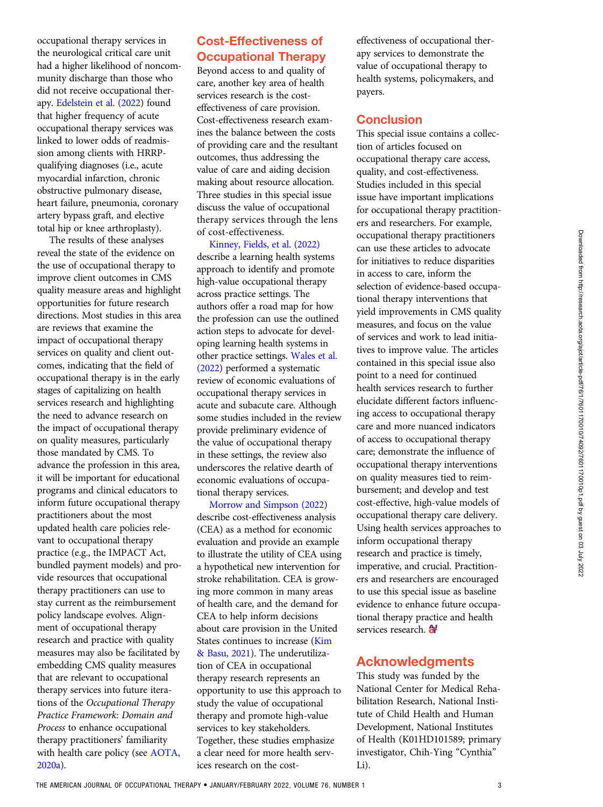occupational therapy services in the neurological critical care unit had a higher likelihood of noncommunity discharge than those who did not receive occupational therapy. [Edelstein et al. \(2022](#page-3-0)) found that higher frequency of acute occupational therapy services was linked to lower odds of readmission among clients with HRRPqualifying diagnoses (i.e., acute myocardial infarction, chronic obstructive pulmonary disease, heart failure, pneumonia, coronary artery bypass graft, and elective total hip or knee arthroplasty).

The results of these analyses reveal the state of the evidence on the use of occupational therapy to improve client outcomes in CMS quality measure areas and highlight opportunities for future research directions. Most studies in this area are reviews that examine the impact of occupational therapy services on quality and client outcomes, indicating that the field of occupational therapy is in the early stages of capitalizing on health services research and highlighting the need to advance research on the impact of occupational therapy on quality measures, particularly those mandated by CMS. To advance the profession in this area, it will be important for educational programs and clinical educators to inform future occupational therapy practitioners about the most updated health care policies relevant to occupational therapy practice (e.g., the IMPACT Act, bundled payment models) and provide resources that occupational therapy practitioners can use to stay current as the reimbursement policy landscape evolves. Alignment of occupational therapy research and practice with quality measures may also be facilitated by embedding CMS quality measures that are relevant to occupational therapy services into future iterations of the Occupational Therapy Practice Framework: Domain and Process to enhance occupational therapy practitioners' familiarity with health care policy (see [AOTA,](#page-3-0) [2020a\)](#page-3-0).

## Cost-Effectiveness of Occupational Therapy

Beyond access to and quality of care, another key area of health services research is the costeffectiveness of care provision. Cost-effectiveness research examines the balance between the costs of providing care and the resultant outcomes, thus addressing the value of care and aiding decision making about resource allocation. Three studies in this special issue discuss the value of occupational therapy services through the lens of cost-effectiveness.

[Kinney, Fields, et al. \(2022\)](#page-3-0) describe a learning health systems approach to identify and promote high-value occupational therapy across practice settings. The authors offer a road map for how the profession can use the outlined action steps to advocate for developing learning health systems in other practice settings. [Wales et al.](#page-3-0) [\(2022\)](#page-3-0) performed a systematic review of economic evaluations of occupational therapy services in acute and subacute care. Although some studies included in the review provide preliminary evidence of the value of occupational therapy in these settings, the review also underscores the relative dearth of economic evaluations of occupational therapy services.

[Morrow and Simpson \(2022](#page-3-0)) describe cost-effectiveness analysis (CEA) as a method for economic evaluation and provide an example to illustrate the utility of CEA using a hypothetical new intervention for stroke rehabilitation. CEA is growing more common in many areas of health care, and the demand for CEA to help inform decisions about care provision in the United States continues to increase ([Kim](#page-3-0) [& Basu, 2021](#page-3-0)). The underutilization of CEA in occupational therapy research represents an opportunity to use this approach to study the value of occupational therapy and promote high-value services to key stakeholders. Together, these studies emphasize a clear need for more health services research on the costeffectiveness of occupational therapy services to demonstrate the value of occupational therapy to health systems, policymakers, and payers.

#### **Conclusion**

This special issue contains a collection of articles focused on occupational therapy care access, quality, and cost-effectiveness. Studies included in this special issue have important implications for occupational therapy practitioners and researchers. For example, occupational therapy practitioners can use these articles to advocate for initiatives to reduce disparities in access to care, inform the selection of evidence-based occupational therapy interventions that yield improvements in CMS quality measures, and focus on the value of services and work to lead initiatives to improve value. The articles contained in this special issue also point to a need for continued health services research to further elucidate different factors influencing access to occupational therapy care and more nuanced indicators of access to occupational therapy care; demonstrate the influence of occupational therapy interventions on quality measures tied to reimbursement; and develop and test cost-effective, high-value models of occupational therapy care delivery. Using health services approaches to inform occupational therapy research and practice is timely, imperative, and crucial. Practitioners and researchers are encouraged to use this special issue as baseline evidence to enhance future occupational therapy practice and health services research. **<sup>a</sup>** 

### Acknowledgments

This study was funded by the National Center for Medical Rehabilitation Research, National Institute of Child Health and Human Development, National Institutes of Health (K01HD101589; primary investigator, Chih-Ying "Cynthia" Li).